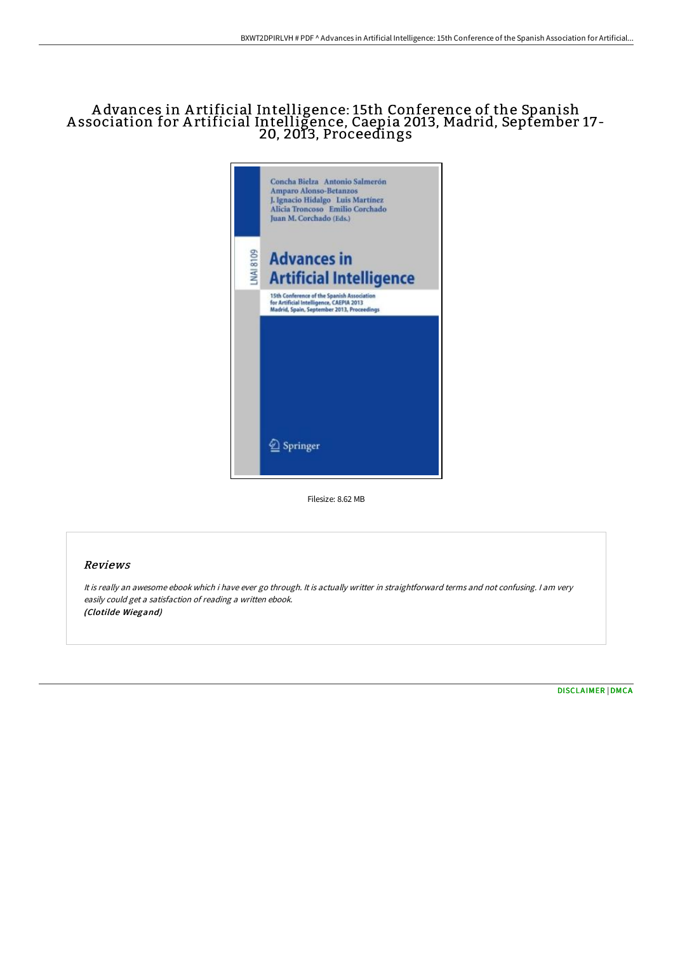# A dvances in A rtificial Intelligence: 15th Conference of the Spanish A ssociation for A rtificial Intelligence, Caepia 2013, Madrid, September 17- 20, 2013, Proceedings



Filesize: 8.62 MB

## Reviews

It is really an awesome ebook which i have ever go through. It is actually writter in straightforward terms and not confusing. <sup>I</sup> am very easily could get <sup>a</sup> satisfaction of reading <sup>a</sup> written ebook. (Clotilde Wiegand)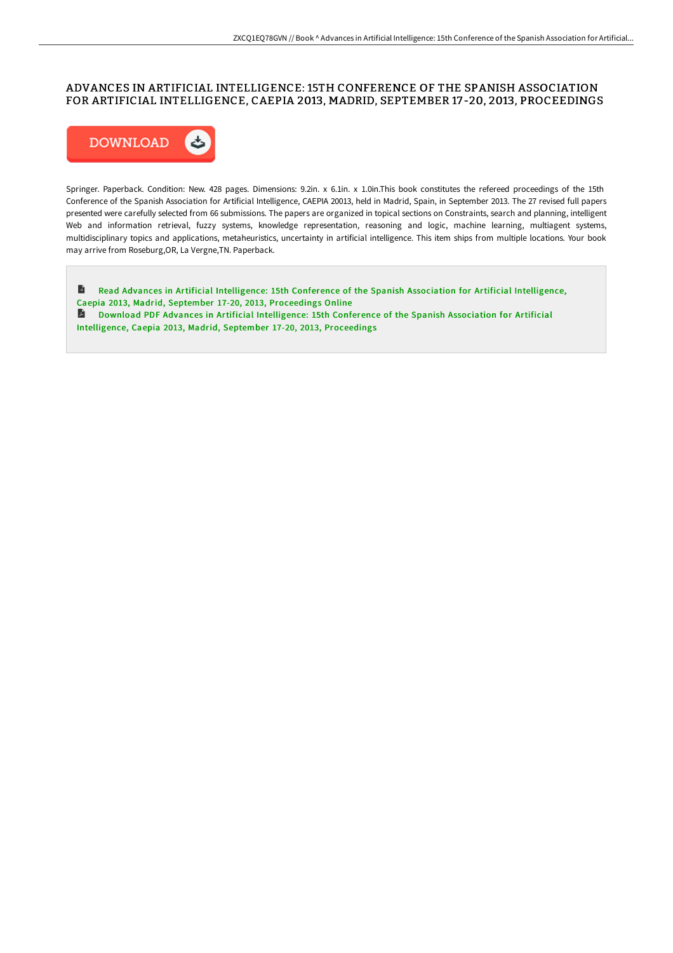## ADVANCES IN ARTIFICIAL INTELLIGENCE: 15TH CONFERENCE OF THE SPANISH ASSOCIATION FOR ARTIFICIAL INTELLIGENCE, CAEPIA 2013, MADRID, SEPTEMBER 17 -20, 2013, PROCEEDINGS



Springer. Paperback. Condition: New. 428 pages. Dimensions: 9.2in. x 6.1in. x 1.0in.This book constitutes the refereed proceedings of the 15th Conference of the Spanish Association for Artificial Intelligence, CAEPIA 20013, held in Madrid, Spain, in September 2013. The 27 revised full papers presented were carefully selected from 66 submissions. The papers are organized in topical sections on Constraints, search and planning, intelligent Web and information retrieval, fuzzy systems, knowledge representation, reasoning and logic, machine learning, multiagent systems, multidisciplinary topics and applications, metaheuristics, uncertainty in artificial intelligence. This item ships from multiple locations. Your book may arrive from Roseburg,OR, La Vergne,TN. Paperback.

 $\mathbf{E}$ Read Advances in Artificial [Intelligence:](http://www.bookdirs.com/advances-in-artificial-intelligence-15th-confere.html) 15th Conference of the Spanish Association for Artificial Intelligence, Caepia 2013, Madrid, September 17-20, 2013, Proceedings Online Download PDF Advances in Artificial Intelligence: 15th Conference of the Spanish Association for Artificial Intelligence, Caepia 2013, Madrid, September 17-20, 2013, [Proceedings](http://www.bookdirs.com/advances-in-artificial-intelligence-15th-confere.html)